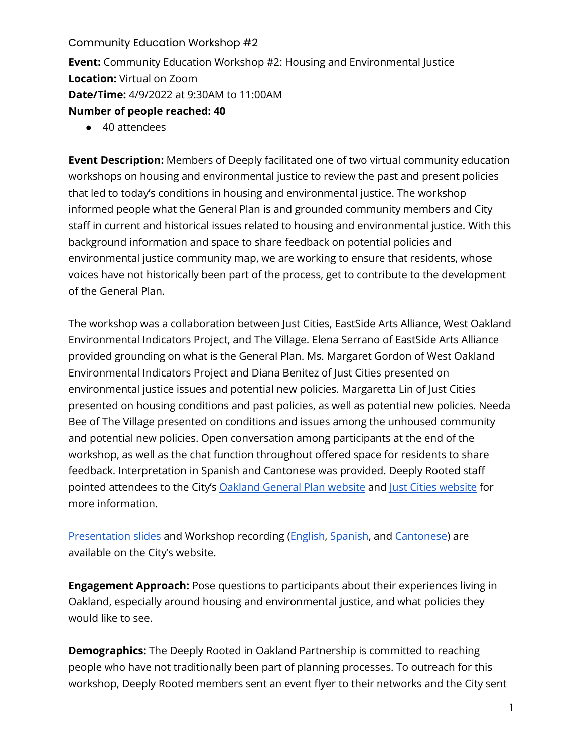Community Education Workshop #2 **Event:** Community Education Workshop #2: Housing and Environmental Justice **Location:** Virtual on Zoom **Date/Time:** 4/9/2022 at 9:30AM to 11:00AM **Number of people reached: 40** 

● 40 attendees

**Event Description:** Members of Deeply facilitated one of two virtual community education workshops on housing and environmental justice to review the past and present policies that led to today's conditions in housing and environmental justice. The workshop informed people what the General Plan is and grounded community members and City staff in current and historical issues related to housing and environmental justice. With this background information and space to share feedback on potential policies and environmental justice community map, we are working to ensure that residents, whose voices have not historically been part of the process, get to contribute to the development of the General Plan.

The workshop was a collaboration between Just Cities, EastSide Arts Alliance, West Oakland Environmental Indicators Project, and The Village. Elena Serrano of EastSide Arts Alliance provided grounding on what is the General Plan. Ms. Margaret Gordon of West Oakland Environmental Indicators Project and Diana Benitez of Just Cities presented on environmental justice issues and potential new policies. Margaretta Lin of Just Cities presented on housing conditions and past policies, as well as potential new policies. Needa Bee of The Village presented on conditions and issues among the unhoused community and potential new policies. Open conversation among participants at the end of the workshop, as well as the chat function throughout offered space for residents to share feedback. Interpretation in Spanish and Cantonese was provided. Deeply Rooted staff pointed attendees to the City'[s Oakland General Plan website](https://www.oaklandca.gov/topics/general-plan-update) and [Just Cities website](https://www.justcities.work/ogp) for more information.

[Presentation slides](https://cao-94612.s3.amazonaws.com/documents/DR-April-Workshop-Housing-EJ-slides_2022_0409-1.pdf) and Workshop recording [\(English,](https://youtu.be/svAdLwrTe_E) [Spanish,](https://youtu.be/1hvxHH3Vo9s) and [Cantonese\)](https://youtu.be/To3dYlmbJCU) are available on the City's website.

**Engagement Approach:** Pose questions to participants about their experiences living in Oakland, especially around housing and environmental justice, and what policies they would like to see.

**Demographics:** The Deeply Rooted in Oakland Partnership is committed to reaching people who have not traditionally been part of planning processes. To outreach for this workshop, Deeply Rooted members sent an event flyer to their networks and the City sent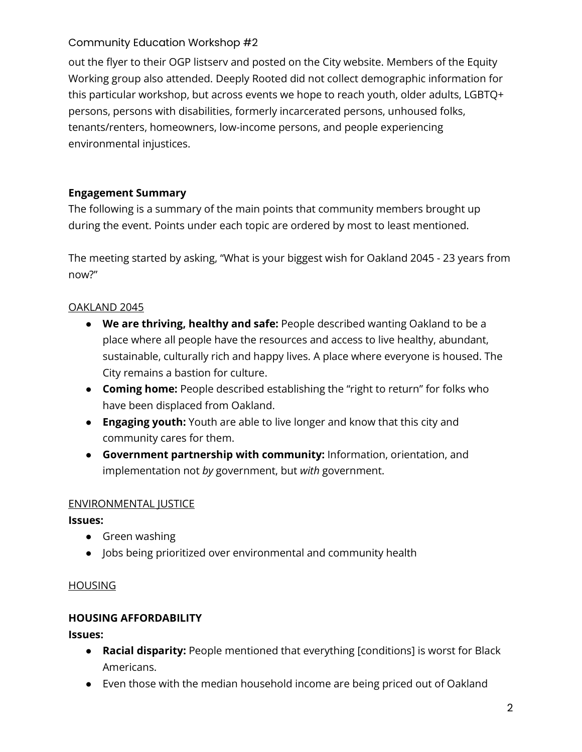out the flyer to their OGP listserv and posted on the City website. Members of the Equity Working group also attended. Deeply Rooted did not collect demographic information for this particular workshop, but across events we hope to reach youth, older adults, LGBTQ+ persons, persons with disabilities, formerly incarcerated persons, unhoused folks, tenants/renters, homeowners, low-income persons, and people experiencing environmental injustices.

## **Engagement Summary**

The following is a summary of the main points that community members brought up during the event. Points under each topic are ordered by most to least mentioned.

The meeting started by asking, "What is your biggest wish for Oakland 2045 - 23 years from now?"

## OAKLAND 2045

- **We are thriving, healthy and safe:** People described wanting Oakland to be a place where all people have the resources and access to live healthy, abundant, sustainable, culturally rich and happy lives. A place where everyone is housed. The City remains a bastion for culture.
- **Coming home:** People described establishing the "right to return" for folks who have been displaced from Oakland.
- **Engaging youth:** Youth are able to live longer and know that this city and community cares for them.
- **Government partnership with community:** Information, orientation, and implementation not *by* government, but *with* government.

## ENVIRONMENTAL JUSTICE

### **Issues:**

- Green washing
- Jobs being prioritized over environmental and community health

## **HOUSING**

## **HOUSING AFFORDABILITY**

**Issues:** 

- **Racial disparity:** People mentioned that everything [conditions] is worst for Black Americans.
- Even those with the median household income are being priced out of Oakland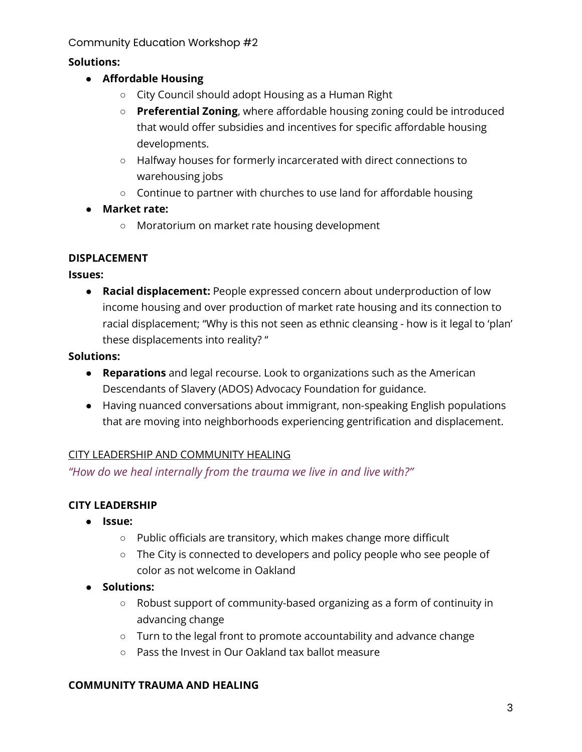## **Solutions:**

- **Affordable Housing**
	- City Council should adopt Housing as a Human Right
	- **Preferential Zoning**, where affordable housing zoning could be introduced that would offer subsidies and incentives for specific affordable housing developments.
	- Halfway houses for formerly incarcerated with direct connections to warehousing jobs
	- Continue to partner with churches to use land for affordable housing
- **Market rate:**
	- Moratorium on market rate housing development

### **DISPLACEMENT**

### **Issues:**

● **Racial displacement:** People expressed concern about underproduction of low income housing and over production of market rate housing and its connection to racial displacement; "Why is this not seen as ethnic cleansing - how is it legal to 'plan' these displacements into reality? "

### **Solutions:**

- **Reparations** and legal recourse. Look to organizations such as the American Descendants of Slavery (ADOS) Advocacy Foundation for guidance.
- Having nuanced conversations about immigrant, non-speaking English populations that are moving into neighborhoods experiencing gentrification and displacement.

### CITY LEADERSHIP AND COMMUNITY HEALING

*"How do we heal internally from the trauma we live in and live with?"*

## **CITY LEADERSHIP**

- **Issue:** 
	- Public officials are transitory, which makes change more difficult
	- The City is connected to developers and policy people who see people of color as not welcome in Oakland
- **Solutions:** 
	- Robust support of community-based organizing as a form of continuity in advancing change
	- Turn to the legal front to promote accountability and advance change
	- Pass the Invest in Our Oakland tax ballot measure

### **COMMUNITY TRAUMA AND HEALING**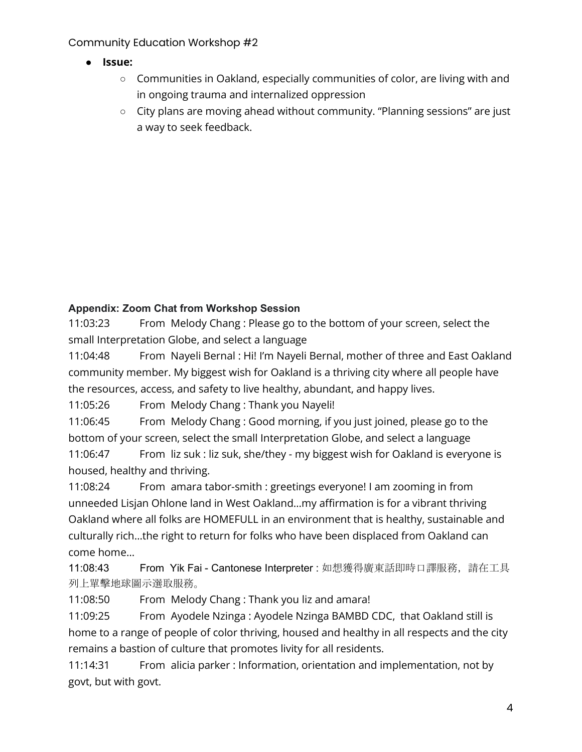- **Issue:** 
	- Communities in Oakland, especially communities of color, are living with and in ongoing trauma and internalized oppression
	- City plans are moving ahead without community. "Planning sessions" are just a way to seek feedback.

# **Appendix: Zoom Chat from Workshop Session**

11:03:23 From Melody Chang : Please go to the bottom of your screen, select the small Interpretation Globe, and select a language

11:04:48 From Nayeli Bernal : Hi! I'm Nayeli Bernal, mother of three and East Oakland community member. My biggest wish for Oakland is a thriving city where all people have the resources, access, and safety to live healthy, abundant, and happy lives.

11:05:26 From Melody Chang : Thank you Nayeli!

11:06:45 From Melody Chang : Good morning, if you just joined, please go to the bottom of your screen, select the small Interpretation Globe, and select a language

11:06:47 From liz suk : liz suk, she/they - my biggest wish for Oakland is everyone is housed, healthy and thriving.

11:08:24 From amara tabor-smith : greetings everyone! I am zooming in from unneeded Lisjan Ohlone land in West Oakland…my affirmation is for a vibrant thriving Oakland where all folks are HOMEFULL in an environment that is healthy, sustainable and culturally rich…the right to return for folks who have been displaced from Oakland can come home…

11:08:43 From Yik Fai - Cantonese Interpreter : 如想獲得廣東話即時口譯服務,請在工具 列上單擊地球圖示選取服務。

11:08:50 From Melody Chang : Thank you liz and amara!

11:09:25 From Ayodele Nzinga : Ayodele Nzinga BAMBD CDC, that Oakland still is home to a range of people of color thriving, housed and healthy in all respects and the city remains a bastion of culture that promotes livity for all residents.

11:14:31 From alicia parker : Information, orientation and implementation, not by govt, but with govt.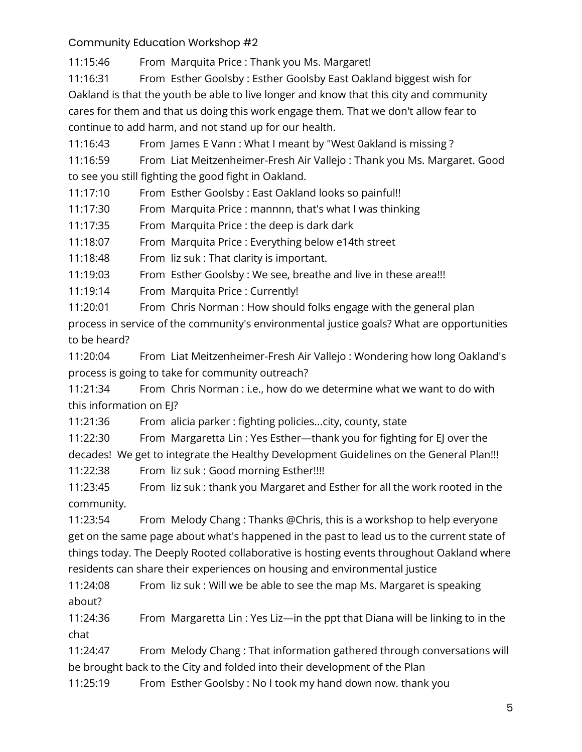11:15:46 From Marquita Price : Thank you Ms. Margaret!

11:16:31 From Esther Goolsby : Esther Goolsby East Oakland biggest wish for Oakland is that the youth be able to live longer and know that this city and community cares for them and that us doing this work engage them. That we don't allow fear to continue to add harm, and not stand up for our health.

11:16:43 From James E Vann : What I meant by "West 0akland is missing ?

11:16:59 From Liat Meitzenheimer-Fresh Air Vallejo : Thank you Ms. Margaret. Good to see you still fighting the good fight in Oakland.

11:17:10 From Esther Goolsby : East Oakland looks so painful!!

11:17:30 From Marquita Price : mannnn, that's what I was thinking

11:17:35 From Marquita Price : the deep is dark dark

11:18:07 From Marquita Price : Everything below e14th street

11:18:48 From liz suk : That clarity is important.

11:19:03 From Esther Goolsby : We see, breathe and live in these area!!!

11:19:14 From Marquita Price : Currently!

11:20:01 From Chris Norman : How should folks engage with the general plan process in service of the community's environmental justice goals? What are opportunities to be heard?

11:20:04 From Liat Meitzenheimer-Fresh Air Vallejo : Wondering how long Oakland's process is going to take for community outreach?

11:21:34 From Chris Norman : i.e., how do we determine what we want to do with this information on EJ?

11:21:36 From alicia parker : fighting policies...city, county, state

11:22:30 From Margaretta Lin : Yes Esther—thank you for fighting for EJ over the decades! We get to integrate the Healthy Development Guidelines on the General Plan!!!

11:22:38 From liz suk : Good morning Esther!!!!

11:23:45 From liz suk : thank you Margaret and Esther for all the work rooted in the community.

11:23:54 From Melody Chang : Thanks @Chris, this is a workshop to help everyone get on the same page about what's happened in the past to lead us to the current state of things today. The Deeply Rooted collaborative is hosting events throughout Oakland where residents can share their experiences on housing and environmental justice

11:24:08 From liz suk : Will we be able to see the map Ms. Margaret is speaking about?

11:24:36 From Margaretta Lin : Yes Liz—in the ppt that Diana will be linking to in the chat

11:24:47 From Melody Chang : That information gathered through conversations will be brought back to the City and folded into their development of the Plan

11:25:19 From Esther Goolsby : No I took my hand down now. thank you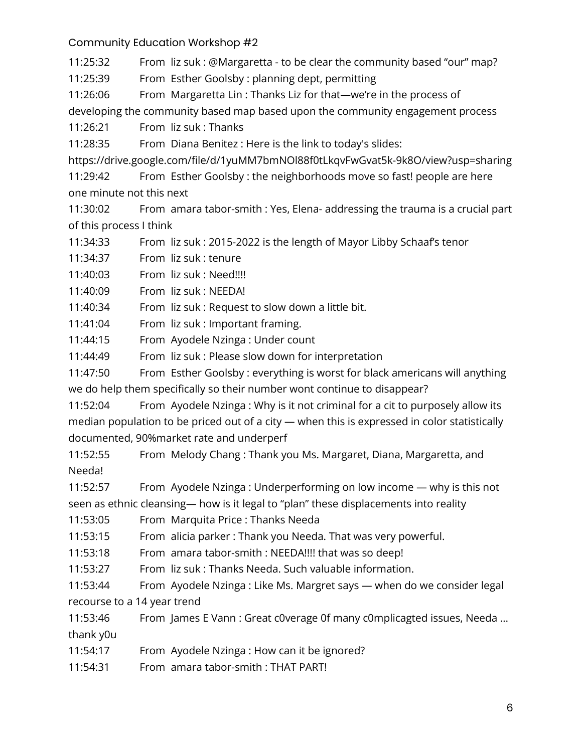11:25:32 From liz suk : @Margaretta - to be clear the community based "our" map?

11:25:39 From Esther Goolsby : planning dept, permitting

11:26:06 From Margaretta Lin : Thanks Liz for that—we're in the process of

developing the community based map based upon the community engagement process

11:26:21 From liz suk : Thanks

11:28:35 From Diana Benitez : Here is the link to today's slides:

https://drive.google.com/file/d/1yuMM7bmNOl88f0tLkqvFwGvat5k-9k8O/view?usp=sharing

11:29:42 From Esther Goolsby : the neighborhoods move so fast! people are here one minute not this next

11:30:02 From amara tabor-smith : Yes, Elena- addressing the trauma is a crucial part of this process I think

11:34:33 From liz suk : 2015-2022 is the length of Mayor Libby Schaaf's tenor

11:34:37 From liz suk : tenure

11:40:03 From liz suk : Need!!!!

11:40:09 From liz suk : NEEDA!

11:40:34 From liz suk : Request to slow down a little bit.

11:41:04 From liz suk : Important framing.

11:44:15 From Ayodele Nzinga : Under count

11:44:49 From liz suk : Please slow down for interpretation

11:47:50 From Esther Goolsby : everything is worst for black americans will anything we do help them specifically so their number wont continue to disappear?

11:52:04 From Ayodele Nzinga : Why is it not criminal for a cit to purposely allow its median population to be priced out of a city — when this is expressed in color statistically documented, 90%market rate and underperf

11:52:55 From Melody Chang : Thank you Ms. Margaret, Diana, Margaretta, and Needa!

11:52:57 From Ayodele Nzinga : Underperforming on low income — why is this not seen as ethnic cleansing— how is it legal to "plan" these displacements into reality

11:53:05 From Marquita Price : Thanks Needa

11:53:15 From alicia parker : Thank you Needa. That was very powerful.

11:53:18 From amara tabor-smith : NEEDA!!!! that was so deep!

11:53:27 From liz suk : Thanks Needa. Such valuable information.

11:53:44 From Ayodele Nzinga : Like Ms. Margret says — when do we consider legal recourse to a 14 year trend

11:53:46 From James E Vann : Great c0verage 0f many c0mplicagted issues, Needa … thank y0u

11:54:17 From Ayodele Nzinga : How can it be ignored?

11:54:31 From amara tabor-smith : THAT PART!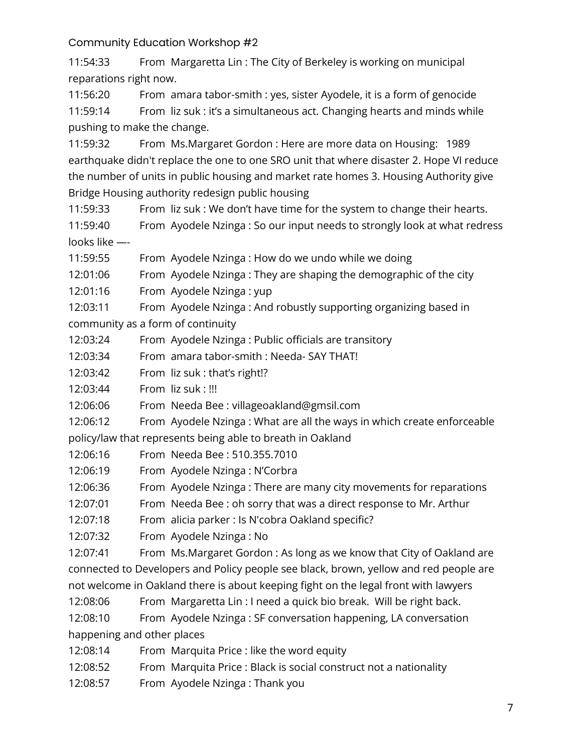11:54:33 From Margaretta Lin : The City of Berkeley is working on municipal reparations right now.

11:56:20 From amara tabor-smith : yes, sister Ayodele, it is a form of genocide 11:59:14 From liz suk : it's a simultaneous act. Changing hearts and minds while pushing to make the change.

11:59:32 From Ms.Margaret Gordon : Here are more data on Housing: 1989 earthquake didn't replace the one to one SRO unit that where disaster 2. Hope VI reduce the number of units in public housing and market rate homes 3. Housing Authority give Bridge Housing authority redesign public housing

11:59:33 From liz suk : We don't have time for the system to change their hearts.

11:59:40 From Ayodele Nzinga : So our input needs to strongly look at what redress looks like —-

11:59:55 From Ayodele Nzinga : How do we undo while we doing

12:01:06 From Ayodele Nzinga : They are shaping the demographic of the city

12:01:16 From Ayodele Nzinga : yup

12:03:11 From Ayodele Nzinga : And robustly supporting organizing based in community as a form of continuity

12:03:24 From Ayodele Nzinga : Public officials are transitory

12:03:34 From amara tabor-smith : Needa- SAY THAT!

12:03:42 From liz suk : that's right!?

12:03:44 From liz suk : !!!

12:06:06 From Needa Bee : villageoakland@gmsil.com

12:06:12 From Ayodele Nzinga : What are all the ways in which create enforceable policy/law that represents being able to breath in Oakland

12:06:16 From Needa Bee : 510.355.7010

12:06:19 From Ayodele Nzinga : N'Corbra

12:06:36 From Ayodele Nzinga : There are many city movements for reparations

12:07:01 From Needa Bee : oh sorry that was a direct response to Mr. Arthur

12:07:18 From alicia parker : Is N'cobra Oakland specific?

12:07:32 From Ayodele Nzinga : No

12:07:41 From Ms.Margaret Gordon : As long as we know that City of Oakland are connected to Developers and Policy people see black, brown, yellow and red people are not welcome in Oakland there is about keeping fight on the legal front with lawyers

12:08:06 From Margaretta Lin : I need a quick bio break. Will be right back.

12:08:10 From Ayodele Nzinga : SF conversation happening, LA conversation happening and other places

12:08:14 From Marquita Price : like the word equity

12:08:52 From Marquita Price : Black is social construct not a nationality

12:08:57 From Ayodele Nzinga : Thank you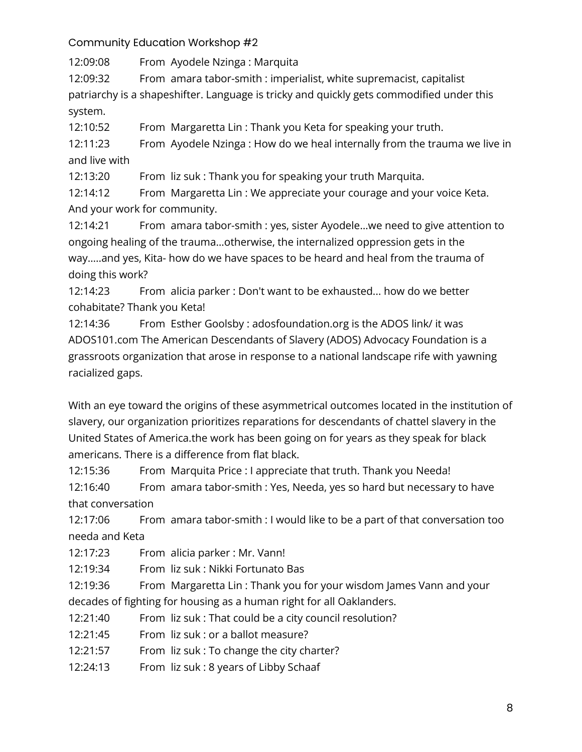12:09:08 From Ayodele Nzinga : Marquita

12:09:32 From amara tabor-smith : imperialist, white supremacist, capitalist patriarchy is a shapeshifter. Language is tricky and quickly gets commodified under this system.

12:10:52 From Margaretta Lin : Thank you Keta for speaking your truth.

12:11:23 From Ayodele Nzinga : How do we heal internally from the trauma we live in and live with

12:13:20 From liz suk : Thank you for speaking your truth Marquita.

12:14:12 From Margaretta Lin : We appreciate your courage and your voice Keta. And your work for community.

12:14:21 From amara tabor-smith : yes, sister Ayodele…we need to give attention to ongoing healing of the trauma…otherwise, the internalized oppression gets in the way…..and yes, Kita- how do we have spaces to be heard and heal from the trauma of doing this work?

12:14:23 From alicia parker : Don't want to be exhausted... how do we better cohabitate? Thank you Keta!

12:14:36 From Esther Goolsby : adosfoundation.org is the ADOS link/ it was ADOS101.com The American Descendants of Slavery (ADOS) Advocacy Foundation is a grassroots organization that arose in response to a national landscape rife with yawning racialized gaps.

With an eye toward the origins of these asymmetrical outcomes located in the institution of slavery, our organization prioritizes reparations for descendants of chattel slavery in the United States of America.the work has been going on for years as they speak for black americans. There is a difference from flat black.

12:15:36 From Marquita Price : I appreciate that truth. Thank you Needa!

12:16:40 From amara tabor-smith : Yes, Needa, yes so hard but necessary to have that conversation

12:17:06 From amara tabor-smith : I would like to be a part of that conversation too needa and Keta

12:17:23 From alicia parker : Mr. Vann!

12:19:34 From liz suk : Nikki Fortunato Bas

12:19:36 From Margaretta Lin : Thank you for your wisdom James Vann and your decades of fighting for housing as a human right for all Oaklanders.

- 12:21:40 From liz suk : That could be a city council resolution?
- 12:21:45 From liz suk : or a ballot measure?
- 12:21:57 From liz suk : To change the city charter?
- 12:24:13 From liz suk : 8 years of Libby Schaaf